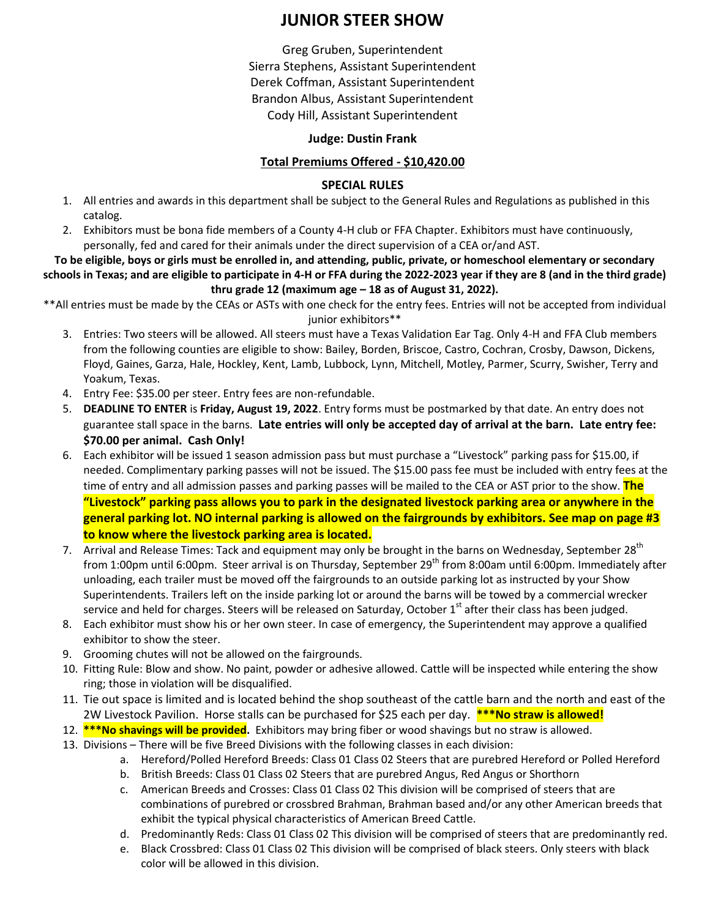# **JUNIOR STEER SHOW**

Greg Gruben, Superintendent Sierra Stephens, Assistant Superintendent Derek Coffman, Assistant Superintendent Brandon Albus, Assistant Superintendent Cody Hill, Assistant Superintendent

### **Judge: Dustin Frank**

# **Total Premiums Offered - \$10,420.00**

## **SPECIAL RULES**

- 1. All entries and awards in this department shall be subject to the General Rules and Regulations as published in this catalog.
- 2. Exhibitors must be bona fide members of a County 4-H club or FFA Chapter. Exhibitors must have continuously, personally, fed and cared for their animals under the direct supervision of a CEA or/and AST.

**To be eligible, boys or girls must be enrolled in, and attending, public, private, or homeschool elementary or secondary schools in Texas; and are eligible to participate in 4-H or FFA during the 2022-2023 year if they are 8 (and in the third grade) thru grade 12 (maximum age – 18 as of August 31, 2022).**

\*\*All entries must be made by the CEAs or ASTs with one check for the entry fees. Entries will not be accepted from individual junior exhibitors\*\*

- 3. Entries: Two steers will be allowed. All steers must have a Texas Validation Ear Tag. Only 4-H and FFA Club members from the following counties are eligible to show: Bailey, Borden, Briscoe, Castro, Cochran, Crosby, Dawson, Dickens, Floyd, Gaines, Garza, Hale, Hockley, Kent, Lamb, Lubbock, Lynn, Mitchell, Motley, Parmer, Scurry, Swisher, Terry and Yoakum, Texas.
- 4. Entry Fee: \$35.00 per steer. Entry fees are non-refundable.
- 5. **DEADLINE TO ENTER** is **Friday, August 19, 2022**. Entry forms must be postmarked by that date. An entry does not guarantee stall space in the barns. **Late entries will only be accepted day of arrival at the barn. Late entry fee: \$70.00 per animal. Cash Only!**
- 6. Each exhibitor will be issued 1 season admission pass but must purchase a "Livestock" parking pass for \$15.00, if needed. Complimentary parking passes will not be issued. The \$15.00 pass fee must be included with entry fees at the time of entry and all admission passes and parking passes will be mailed to the CEA or AST prior to the show. **The "Livestock" parking pass allows you to park in the designated livestock parking area or anywhere in the general parking lot. NO internal parking is allowed on the fairgrounds by exhibitors. See map on page #3 to know where the livestock parking area is located.**
- 7. Arrival and Release Times: Tack and equipment may only be brought in the barns on Wednesday, September 28<sup>th</sup> from 1:00pm until 6:00pm. Steer arrival is on Thursday, September 29<sup>th</sup> from 8:00am until 6:00pm. Immediately after unloading, each trailer must be moved off the fairgrounds to an outside parking lot as instructed by your Show Superintendents. Trailers left on the inside parking lot or around the barns will be towed by a commercial wrecker service and held for charges. Steers will be released on Saturday, October  $1<sup>st</sup>$  after their class has been judged.
- 8. Each exhibitor must show his or her own steer. In case of emergency, the Superintendent may approve a qualified exhibitor to show the steer.
- 9. Grooming chutes will not be allowed on the fairgrounds.
- 10. Fitting Rule: Blow and show. No paint, powder or adhesive allowed. Cattle will be inspected while entering the show ring; those in violation will be disqualified.
- 11. Tie out space is limited and is located behind the shop southeast of the cattle barn and the north and east of the 2W Livestock Pavilion. Horse stalls can be purchased for \$25 each per day. **\*\*\*No straw is allowed!**
- 12. **\*\*\*No shavings will be provided.** Exhibitors may bring fiber or wood shavings but no straw is allowed.
- 13. Divisions There will be five Breed Divisions with the following classes in each division:
	- a. Hereford/Polled Hereford Breeds: Class 01 Class 02 Steers that are purebred Hereford or Polled Hereford
		- b. British Breeds: Class 01 Class 02 Steers that are purebred Angus, Red Angus or Shorthorn
		- c. American Breeds and Crosses: Class 01 Class 02 This division will be comprised of steers that are combinations of purebred or crossbred Brahman, Brahman based and/or any other American breeds that exhibit the typical physical characteristics of American Breed Cattle.
		- d. Predominantly Reds: Class 01 Class 02 This division will be comprised of steers that are predominantly red.
		- e. Black Crossbred: Class 01 Class 02 This division will be comprised of black steers. Only steers with black color will be allowed in this division.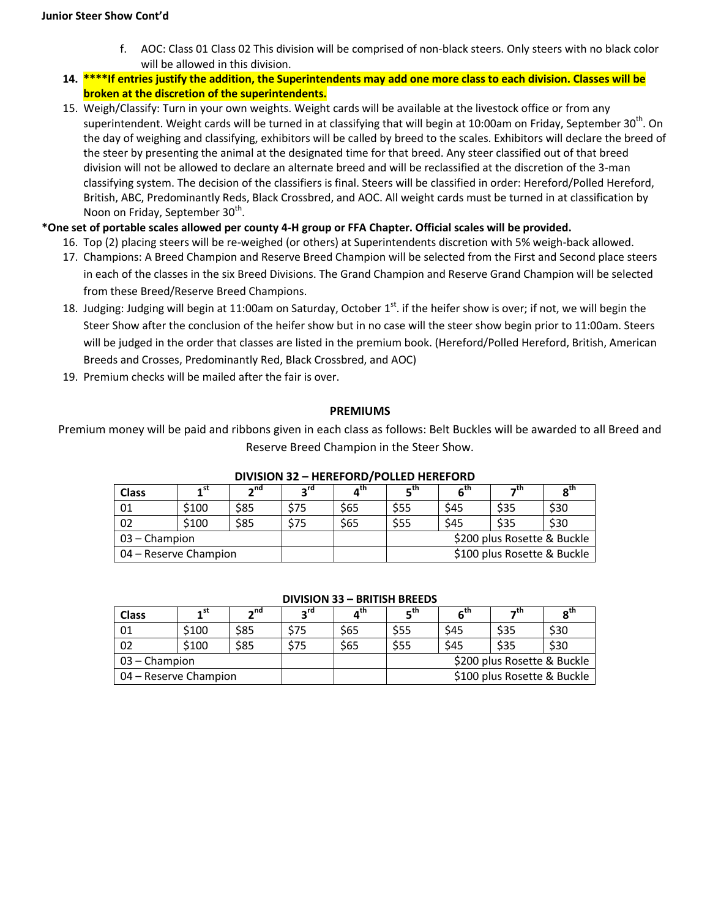- f. AOC: Class 01 Class 02 This division will be comprised of non-black steers. Only steers with no black color will be allowed in this division.
- **14. \*\*\*\*If entries justify the addition, the Superintendents may add one more class to each division. Classes will be broken at the discretion of the superintendents.**
- 15. Weigh/Classify: Turn in your own weights. Weight cards will be available at the livestock office or from any superintendent. Weight cards will be turned in at classifying that will begin at 10:00am on Friday, September  $30^{th}$ . On the day of weighing and classifying, exhibitors will be called by breed to the scales. Exhibitors will declare the breed of the steer by presenting the animal at the designated time for that breed. Any steer classified out of that breed division will not be allowed to declare an alternate breed and will be reclassified at the discretion of the 3-man classifying system. The decision of the classifiers is final. Steers will be classified in order: Hereford/Polled Hereford, British, ABC, Predominantly Reds, Black Crossbred, and AOC. All weight cards must be turned in at classification by Noon on Friday, September  $30<sup>th</sup>$ .

## **\*One set of portable scales allowed per county 4-H group or FFA Chapter. Official scales will be provided.**

- 16. Top (2) placing steers will be re-weighed (or others) at Superintendents discretion with 5% weigh-back allowed.
- 17. Champions: A Breed Champion and Reserve Breed Champion will be selected from the First and Second place steers in each of the classes in the six Breed Divisions. The Grand Champion and Reserve Grand Champion will be selected from these Breed/Reserve Breed Champions.
- 18. Judging: Judging will begin at 11:00am on Saturday, October  $1^{st}$ . if the heifer show is over; if not, we will begin the Steer Show after the conclusion of the heifer show but in no case will the steer show begin prior to 11:00am. Steers will be judged in the order that classes are listed in the premium book. (Hereford/Polled Hereford, British, American Breeds and Crosses, Predominantly Red, Black Crossbred, and AOC)
- 19. Premium checks will be mailed after the fair is over.

### **PREMIUMS**

Premium money will be paid and ribbons given in each class as follows: Belt Buckles will be awarded to all Breed and Reserve Breed Champion in the Steer Show.

| <b>Class</b>          | 4 st  | 2 <sub>nd</sub> | ra د | ⊿™   | $E^{\text{th}}$ | ⊂™   | →τn                         | $R^{In}$ |  |
|-----------------------|-------|-----------------|------|------|-----------------|------|-----------------------------|----------|--|
| 01                    | \$100 | \$85            | \$75 | \$65 | \$55            | \$45 | \$35                        | \$30     |  |
| 02                    | \$100 | \$85            | \$75 | \$65 | \$55            | \$45 | \$35                        | \$30     |  |
| 03 – Champion         |       |                 |      |      |                 |      | \$200 plus Rosette & Buckle |          |  |
| 04 – Reserve Champion |       |                 |      |      |                 |      | \$100 plus Rosette & Buckle |          |  |

### **DIVISION 32 – HEREFORD/POLLED HEREFORD**

#### **DIVISION 33 – BRITISH BREEDS**

| <b>Class</b>          | . st                                         | ⊸nd  | ∽"¤  | $\mathbf{A}^{\text{tn}}$ | −™   | 6''  | π،                          | $R^{\text{III}}$ |
|-----------------------|----------------------------------------------|------|------|--------------------------|------|------|-----------------------------|------------------|
| 01                    | \$100                                        | \$85 | \$75 | \$65                     | \$55 | \$45 | \$35                        | \$30             |
| 02                    | \$100                                        | \$85 | \$75 | \$65                     | \$55 | \$45 | \$35                        | \$30             |
|                       | \$200 plus Rosette & Buckle<br>03 – Champion |      |      |                          |      |      |                             |                  |
| 04 – Reserve Champion |                                              |      |      |                          |      |      | \$100 plus Rosette & Buckle |                  |